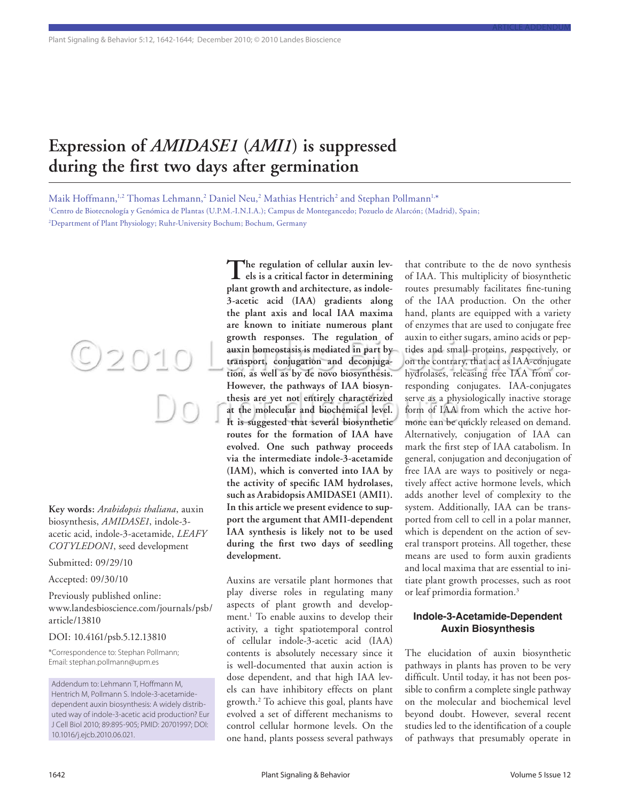# **Expression of** *AMIDASE1* **(***AMI1***) is suppressed during the first two days after germination**

Maik Hoffmann, $^{\!1,2}$  Thomas Lehmann, $^2$  Daniel Neu, $^2$  Mathias Hentrich $^2$  and Stephan Pollmann $^{\!1,*}$ 1 Centro de Biotecnología y Genómica de Plantas (U.P.M.-I.N.I.A.); Campus de Montegancedo; Pozuelo de Alarcón; (Madrid), Spain; 2 Department of Plant Physiology; Ruhr-University Bochum; Bochum, Germany

**Key words:** *Arabidopsis thaliana*, auxin biosynthesis, *AMIDASE1*, indole-3 acetic acid, indole-3-acetamide, *LEAFY COTYLEDON1*, seed development

O2010

Submitted: 09/29/10

Accepted: 09/30/10

Previously published online: www.landesbioscience.com/journals/psb/ article/13810

#### DOI: 10.4161/psb.5.12.13810

\*Correspondence to: Stephan Pollmann; Email: stephan.pollmann@upm.es

Addendum to: Lehmann T, Hoffmann M, Hentrich M, Pollmann S. Indole-3-acetamidedependent auxin biosynthesis: A widely distributed way of indole-3-acetic acid production? Eur J Cell Biol 2010; 89:895-905; PMID: 20701997; DOI: 10.1016/j.ejcb.2010.06.021.

**The regulation of cellular auxin lev-els is a critical factor in determining plant growth and architecture, as indole-3-acetic acid (IAA) gradients along the plant axis and local IAA maxima are known to initiate numerous plant growth responses. The regulation of auxin homeostasis is mediated in part by transport, conjugation and deconjugation, as well as by de novo biosynthesis. However, the pathways of IAA biosynthesis are yet not entirely characterized at the molecular and biochemical level. It is suggested that several biosynthetic routes for the formation of IAA have evolved. One such pathway proceeds via the intermediate indole-3-acetamide (IAM), which is converted into IAA by the activity of specific IAM hydrolases, such as Arabidopsis AMIDASE1 (AMI1). In this article we present evidence to support the argument that AMI1-dependent IAA synthesis is likely not to be used during the first two days of seedling development.**

Auxins are versatile plant hormones that play diverse roles in regulating many aspects of plant growth and development.1 To enable auxins to develop their activity, a tight spatiotemporal control of cellular indole-3-acetic acid (IAA) contents is absolutely necessary since it is well-documented that auxin action is dose dependent, and that high IAA levels can have inhibitory effects on plant growth.2 To achieve this goal, plants have evolved a set of different mechanisms to control cellular hormone levels. On the one hand, plants possess several pathways

that contribute to the de novo synthesis of IAA. This multiplicity of biosynthetic routes presumably facilitates fine-tuning of the IAA production. On the other hand, plants are equipped with a variety of enzymes that are used to conjugate free auxin to either sugars, amino acids or peptides and small proteins, respectively, or on the contrary, that act as IAA-conjugate hydrolases, releasing free IAA from corresponding conjugates. IAA-conjugates serve as a physiologically inactive storage form of IAA from which the active hormone can be quickly released on demand. Alternatively, conjugation of IAA can mark the first step of IAA catabolism. In general, conjugation and deconjugation of free IAA are ways to positively or negatively affect active hormone levels, which adds another level of complexity to the system. Additionally, IAA can be transported from cell to cell in a polar manner, which is dependent on the action of several transport proteins. All together, these means are used to form auxin gradients and local maxima that are essential to initiate plant growth processes, such as root or leaf primordia formation.3

article addendum

## **Indole-3-Acetamide-Dependent Auxin Biosynthesis**

The elucidation of auxin biosynthetic pathways in plants has proven to be very difficult. Until today, it has not been possible to confirm a complete single pathway on the molecular and biochemical level beyond doubt. However, several recent studies led to the identification of a couple of pathways that presumably operate in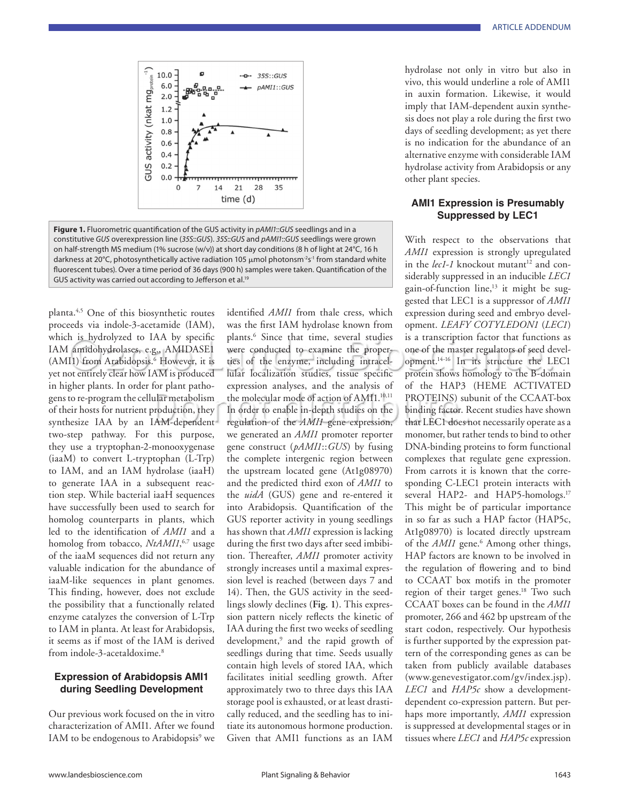

**Figure 1.** Fluorometric quantification of the GUS activity in *pAMI1*::*GUS* seedlings and in a constitutive *GUS* overexpression line (*35S*::*GUS*). *35S*::*GUS* and *pAMI1*::*GUS* seedlings were grown on half-strength MS medium (1% sucrose (w/v)) at short day conditions (8 h of light at 24°C, 16 h darkness at 20°C, photosynthetically active radiation 105 μmol photonsm<sup>-2</sup>s<sup>-1</sup> from standard white fluorescent tubes). Over a time period of 36 days (900 h) samples were taken. Quantification of the GUS activity was carried out according to Jefferson et al.<sup>19</sup>

planta.4,5 One of this biosynthetic routes proceeds via indole-3-acetamide (IAM), which is hydrolyzed to IAA by specific IAM amidohydrolases, e.g., AMIDASE1 (AMI1) from Arabidopsis.<sup>6</sup> However, it is yet not entirely clear how IAM is produced in higher plants. In order for plant pathogens to re-program the cellular metabolism of their hosts for nutrient production, they synthesize IAA by an IAM-dependent two-step pathway. For this purpose, they use a tryptophan-2-monooxygenase (iaaM) to convert L-tryptophan (L-Trp) to IAM, and an IAM hydrolase (iaaH) to generate IAA in a subsequent reaction step. While bacterial iaaH sequences have successfully been used to search for homolog counterparts in plants, which led to the identification of *AMI1* and a homolog from tobacco, *NtAMI1*, 6,7 usage of the iaaM sequences did not return any valuable indication for the abundance of iaaM-like sequences in plant genomes. This finding, however, does not exclude the possibility that a functionally related enzyme catalyzes the conversion of L-Trp to IAM in planta. At least for Arabidopsis, it seems as if most of the IAM is derived from indole-3-acetaldoxime.8

## **Expression of Arabidopsis AMI1 during Seedling Development**

Our previous work focused on the in vitro characterization of AMI1. After we found IAM to be endogenous to Arabidopsis<sup>9</sup> we identified *AMI1* from thale cress, which was the first IAM hydrolase known from plants.6 Since that time, several studies were conducted to examine the properties of the enzyme, including intracellular localization studies, tissue specific expression analyses, and the analysis of the molecular mode of action of AMI1.<sup>10,11</sup> In order to enable in-depth studies on the regulation of the *AMI1* gene expression, we generated an *AMI1* promoter reporter gene construct (*pAMI1*::*GUS*) by fusing the complete intergenic region between the upstream located gene (At1g08970) and the predicted third exon of *AMI1* to the *uidA* (GUS) gene and re-entered it into Arabidopsis. Quantification of the GUS reporter activity in young seedlings has shown that *AMI1* expression is lacking during the first two days after seed imbibition. Thereafter, *AMI1* promoter activity strongly increases until a maximal expression level is reached (between days 7 and 14). Then, the GUS activity in the seedlings slowly declines (**Fig. 1**). This expression pattern nicely reflects the kinetic of IAA during the first two weeks of seedling development,<sup>9</sup> and the rapid growth of seedlings during that time. Seeds usually contain high levels of stored IAA, which facilitates initial seedling growth. After approximately two to three days this IAA storage pool is exhausted, or at least drastically reduced, and the seedling has to initiate its autonomous hormone production. Given that AMI1 functions as an IAM

hydrolase not only in vitro but also in vivo, this would underline a role of AMI1 in auxin formation. Likewise, it would imply that IAM-dependent auxin synthesis does not play a role during the first two days of seedling development; as yet there is no indication for the abundance of an alternative enzyme with considerable IAM hydrolase activity from Arabidopsis or any other plant species.

## **AMI1 Expression is Presumably Suppressed by LEC1**

With respect to the observations that *AMI1* expression is strongly upregulated in the *lec1-1* knockout mutant<sup>12</sup> and considerably suppressed in an inducible *LEC1* gain-of-function line,<sup>13</sup> it might be suggested that LEC1 is a suppressor of *AMI1* expression during seed and embryo development. *LEAFY COTYLEDON1* (*LEC1*) is a transcription factor that functions as one of the master regulators of seed development.14-16 In its structure the LEC1 protein shows homology to the B-domain of the HAP3 (HEME ACTIVATED PROTEINS) subunit of the CCAAT-box binding factor. Recent studies have shown that LEC1 does not necessarily operate as a monomer, but rather tends to bind to other DNA-binding proteins to form functional complexes that regulate gene expression. From carrots it is known that the corresponding C-LEC1 protein interacts with several HAP2- and HAP5-homologs.<sup>17</sup> This might be of particular importance in so far as such a HAP factor (HAP5c, At1g08970) is located directly upstream of the *AMI1* gene.<sup>6</sup> Among other things, HAP factors are known to be involved in the regulation of flowering and to bind to CCAAT box motifs in the promoter region of their target genes.<sup>18</sup> Two such CCAAT boxes can be found in the *AMI1* promoter, 266 and 462 bp upstream of the start codon, respectively. Our hypothesis is further supported by the expression pattern of the corresponding genes as can be taken from publicly available databases (www.genevestigator.com/gv/index.jsp). *LEC1* and *HAP5c* show a developmentdependent co-expression pattern. But perhaps more importantly, *AMI1* expression is suppressed at developmental stages or in tissues where *LEC1* and *HAP5c* expression